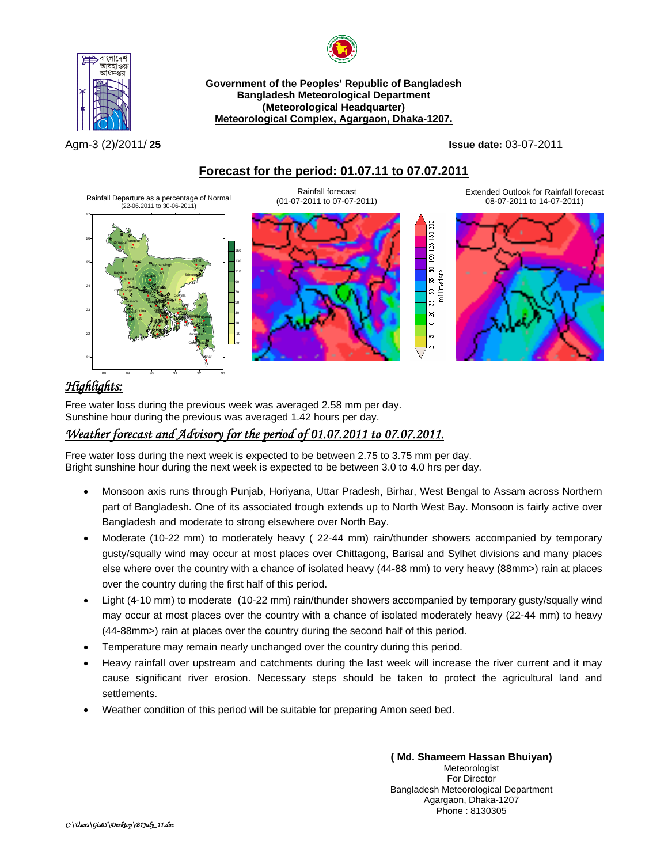



Agm-3 (2)/2011/ **25 Issue date:** 03-07-2011

### <sup>U</sup>**Forecast for the period: 01.07.11 to 07.07.2011**



# *Highlights:*

বাংলাদেশ আবহাওয়<br>অধিদপ্তর

Free water loss during the previous week was averaged 2.58 mm per day. Sunshine hour during the previous was averaged 1.42 hours per day.

## <sup>U</sup>*Weather forecast and Advisory for the period of 01.07.2011 to 07.07.2011.*

Free water loss during the next week is expected to be between 2.75 to 3.75 mm per day. Bright sunshine hour during the next week is expected to be between 3.0 to 4.0 hrs per day.

- Monsoon axis runs through Punjab, Horiyana, Uttar Pradesh, Birhar, West Bengal to Assam across Northern part of Bangladesh. One of its associated trough extends up to North West Bay. Monsoon is fairly active over Bangladesh and moderate to strong elsewhere over North Bay.
- Moderate (10-22 mm) to moderately heavy ( 22-44 mm) rain/thunder showers accompanied by temporary gusty/squally wind may occur at most places over Chittagong, Barisal and Sylhet divisions and many places else where over the country with a chance of isolated heavy (44-88 mm) to very heavy (88mm>) rain at places over the country during the first half of this period.
- Light (4-10 mm) to moderate (10-22 mm) rain/thunder showers accompanied by temporary gusty/squally wind may occur at most places over the country with a chance of isolated moderately heavy (22-44 mm) to heavy (44-88mm>) rain at places over the country during the second half of this period.
- Temperature may remain nearly unchanged over the country during this period.
- Heavy rainfall over upstream and catchments during the last week will increase the river current and it may cause significant river erosion. Necessary steps should be taken to protect the agricultural land and settlements.
- Weather condition of this period will be suitable for preparing Amon seed bed.

**( Md. Shameem Hassan Bhuiyan)** Meteorologist For Director Bangladesh Meteorological Department Agargaon, Dhaka-1207 Phone : 8130305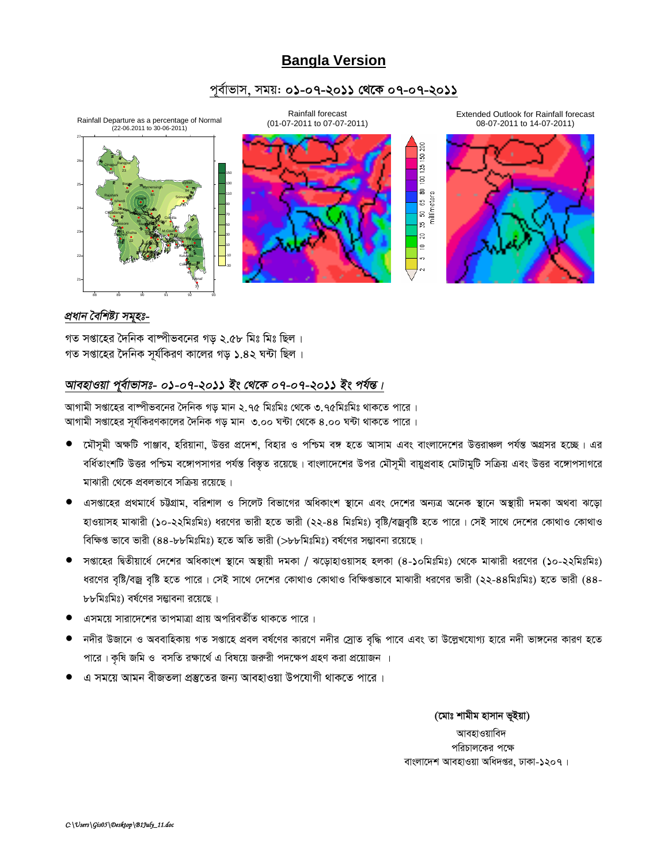# **Bangla Version**

#### পূৰ্বাভাস, সময়: **০১-০৭-২০১১ থেকে ০৭-০৭-২০১১**



#### *প্ৰধান বৈশিষ্ট্য সমূহঃ-*

গত সপ্তাহের দৈনিক বাষ্পীভবনের গড় ২.৫৮ মিঃ মিঃ ছিল। গত সপ্তাহের দৈনিক সর্যকিরণ কালের গড় ১.৪২ ঘন্টা ছিল।

### *আবহাওয়া প্*ৰ্বাভাসঃ- ০১-০৭-২০১১ ইং থেকে ০৭-০৭-২০১১ ইং পৰ্যন্ত।

আগামী সপ্তাহের বাষ্পীভবনের দৈনিক গড় মান ২.৭৫ মিঃমিঃ থেকে ৩.৭৫মিঃমিঃ থাকতে পারে । আগামী সপ্তাহের সূর্যকিরণকালের দৈনিক গড় মান ৩.০০ ঘন্টা থেকে ৪.০০ ঘন্টা থাকতে পারে।

- মৌসূমী অক্ষটি পাঞ্জাব, হরিয়ানা, উত্তর প্রদেশ, বিহার ও পশ্চিম বঙ্গ হতে আসাম এবং বাংলাদেশের উত্তরাঞ্চল পর্যন্ত অগ্রসর হচ্ছে। এর বর্ধিতাংশটি উত্তর পশ্চিম বঙ্গোপসাগর পর্যন্ত বিস্তৃত রয়েছে। বাংলাদেশের উপর মৌসূমী বায়ুপ্রবাহ মোটামুটি সক্রিয় এবং উত্তর বঙ্গোপসাগরে মাঝারী থেকে প্রবলভাবে সক্রিয় রয়েছে।
- $\bullet$  এসপ্তাহের প্রথমার্ধে চট্টগ্রাম, বরিশাল ও সিলেট বিভাগের অধিকাংশ স্থানে এবং দেশের অন্যত্র অনেক স্থানে অস্থায়ী দমকা অথবা ঝড়ো হাওয়াসহ মাঝারী (১০-২২মিঃমিঃ) ধরণের ভারী হতে ভারী (২২-৪৪ মিঃমিঃ) বৃষ্টি/বজ্রবৃষ্টি হতে পারে। সেই সাথে দেশের কোথাও কোথাও বিক্ষিপ্ত ভাবে ভারী (৪৪-৮৮মিঃমিঃ) হতে অতি ভারী (>৮৮মিঃমিঃ) বর্ষণের সম্ভাবনা রয়েছে।
- সপ্তাহের দ্বিতীয়ার্ধে দেশের অধিকাংশ স্থানে অস্থায়ী দমকা / ঝড়োহাওয়াসহ হলকা (৪-১০মিঃমিঃ) থেকে মাঝারী ধরণের (১০-২২মিঃমিঃ) ধরণের বৃষ্টি/বজ্র বৃষ্টি হতে পারে। সেই সাথে দেশের কোথাও কোথাও বিক্ষিগুভাবে মাঝারী ধরণের ভারী (২২-৪৪মিঃমিঃ) হতে ভারী (৪৪-৮৮মিঃমিঃ) বর্ষণের সম্ভাবনা রয়েছে।
- এসময়ে সারাদেশের তাপমাত্রা প্রায় অপরিবর্তীত থাকতে পারে ।
- নদীর উজানে ও অববাহিকায় গত সপ্তাহে প্রবল বর্ষণের কারণে নদীর স্রোত বৃদ্ধি পাবে এবং তা উল্লেখযোগ্য হারে নদী ভাঙ্গনের কারণ হতে পারে। কৃষি জমি ও বসতি রক্ষার্থে এ বিষয়ে জরুরী পদক্ষেপ গ্রহণ করা প্রয়োজন ।
- এ সময়ে আমন বীজতলা প্ৰস্তুতের জন্য আবহাওয়া উপযোগী থাকতে পারে ।

(মোঃ শামীম হাসান ভূইয়া) আবহাওয়াবিদ পরিচালকের পক্ষে বাংলাদেশ আবহাওয়া অধিদপ্তর, ঢাকা-১২০৭।